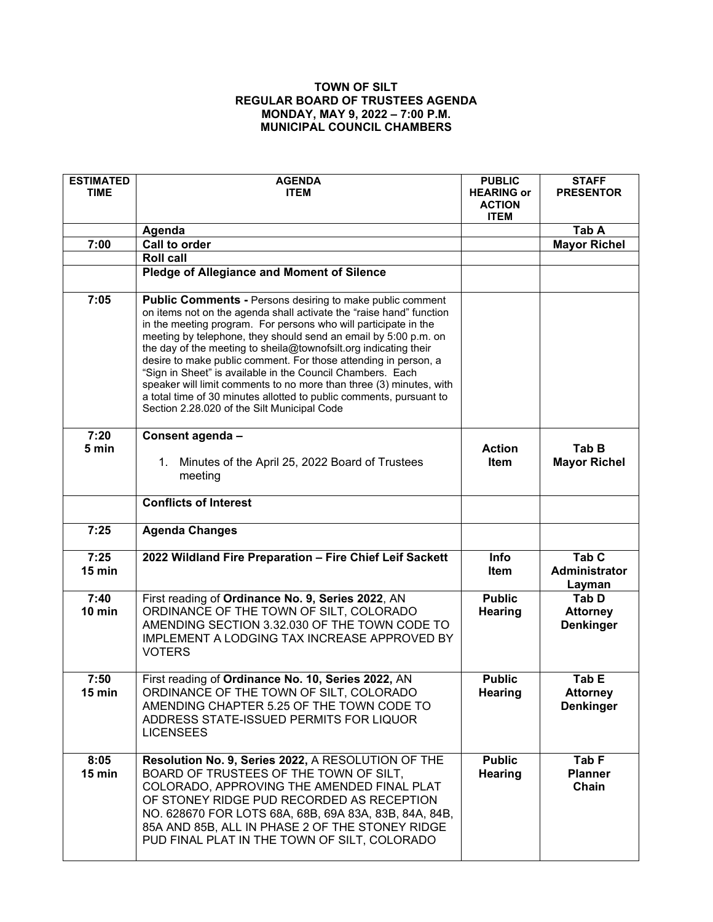## **TOWN OF SILT REGULAR BOARD OF TRUSTEES AGENDA MONDAY, MAY 9, 2022 – 7:00 P.M. MUNICIPAL COUNCIL CHAMBERS**

| <b>ESTIMATED</b><br><b>TIME</b> | <b>AGENDA</b><br><b>ITEM</b>                                                                                                                                                                                                                                                                                                                                                                                                                                                                                                                                                                                                                                                    | <b>PUBLIC</b><br><b>HEARING or</b><br><b>ACTION</b><br><b>ITEM</b> | <b>STAFF</b><br><b>PRESENTOR</b>             |
|---------------------------------|---------------------------------------------------------------------------------------------------------------------------------------------------------------------------------------------------------------------------------------------------------------------------------------------------------------------------------------------------------------------------------------------------------------------------------------------------------------------------------------------------------------------------------------------------------------------------------------------------------------------------------------------------------------------------------|--------------------------------------------------------------------|----------------------------------------------|
|                                 | Agenda                                                                                                                                                                                                                                                                                                                                                                                                                                                                                                                                                                                                                                                                          |                                                                    | Tab A                                        |
| 7:00                            | <b>Call to order</b>                                                                                                                                                                                                                                                                                                                                                                                                                                                                                                                                                                                                                                                            |                                                                    | <b>Mayor Richel</b>                          |
|                                 | <b>Roll call</b>                                                                                                                                                                                                                                                                                                                                                                                                                                                                                                                                                                                                                                                                |                                                                    |                                              |
|                                 | <b>Pledge of Allegiance and Moment of Silence</b>                                                                                                                                                                                                                                                                                                                                                                                                                                                                                                                                                                                                                               |                                                                    |                                              |
| 7:05                            | <b>Public Comments - Persons desiring to make public comment</b><br>on items not on the agenda shall activate the "raise hand" function<br>in the meeting program. For persons who will participate in the<br>meeting by telephone, they should send an email by 5:00 p.m. on<br>the day of the meeting to sheila@townofsilt.org indicating their<br>desire to make public comment. For those attending in person, a<br>"Sign in Sheet" is available in the Council Chambers. Each<br>speaker will limit comments to no more than three (3) minutes, with<br>a total time of 30 minutes allotted to public comments, pursuant to<br>Section 2.28.020 of the Silt Municipal Code |                                                                    |                                              |
| 7:20<br>5 min                   | Consent agenda -<br>Minutes of the April 25, 2022 Board of Trustees<br>1.<br>meeting                                                                                                                                                                                                                                                                                                                                                                                                                                                                                                                                                                                            | <b>Action</b><br>Item                                              | Tab B<br><b>Mayor Richel</b>                 |
|                                 | <b>Conflicts of Interest</b>                                                                                                                                                                                                                                                                                                                                                                                                                                                                                                                                                                                                                                                    |                                                                    |                                              |
| 7:25                            | <b>Agenda Changes</b>                                                                                                                                                                                                                                                                                                                                                                                                                                                                                                                                                                                                                                                           |                                                                    |                                              |
| 7:25<br>15 min                  | 2022 Wildland Fire Preparation - Fire Chief Leif Sackett                                                                                                                                                                                                                                                                                                                                                                                                                                                                                                                                                                                                                        | Info<br>Item                                                       | Tab <sub>C</sub><br>Administrator<br>Layman  |
| 7:40<br>10 min                  | First reading of Ordinance No. 9, Series 2022, AN<br>ORDINANCE OF THE TOWN OF SILT, COLORADO<br>AMENDING SECTION 3.32.030 OF THE TOWN CODE TO<br>IMPLEMENT A LODGING TAX INCREASE APPROVED BY<br><b>VOTERS</b>                                                                                                                                                                                                                                                                                                                                                                                                                                                                  | <b>Public</b><br><b>Hearing</b>                                    | Tab D<br><b>Attorney</b><br><b>Denkinger</b> |
| 7:50<br>15 min                  | First reading of Ordinance No. 10, Series 2022, AN<br>ORDINANCE OF THE TOWN OF SILT, COLORADO<br>AMENDING CHAPTER 5.25 OF THE TOWN CODE TO<br>ADDRESS STATE-ISSUED PERMITS FOR LIQUOR<br><b>LICENSEES</b>                                                                                                                                                                                                                                                                                                                                                                                                                                                                       | <b>Public</b><br><b>Hearing</b>                                    | Tab E<br><b>Attorney</b><br><b>Denkinger</b> |
| 8:05<br>15 min                  | Resolution No. 9, Series 2022, A RESOLUTION OF THE<br>BOARD OF TRUSTEES OF THE TOWN OF SILT,<br>COLORADO, APPROVING THE AMENDED FINAL PLAT<br>OF STONEY RIDGE PUD RECORDED AS RECEPTION<br>NO. 628670 FOR LOTS 68A, 68B, 69A 83A, 83B, 84A, 84B,<br>85A AND 85B, ALL IN PHASE 2 OF THE STONEY RIDGE<br>PUD FINAL PLAT IN THE TOWN OF SILT, COLORADO                                                                                                                                                                                                                                                                                                                             | <b>Public</b><br><b>Hearing</b>                                    | Tab F<br><b>Planner</b><br>Chain             |